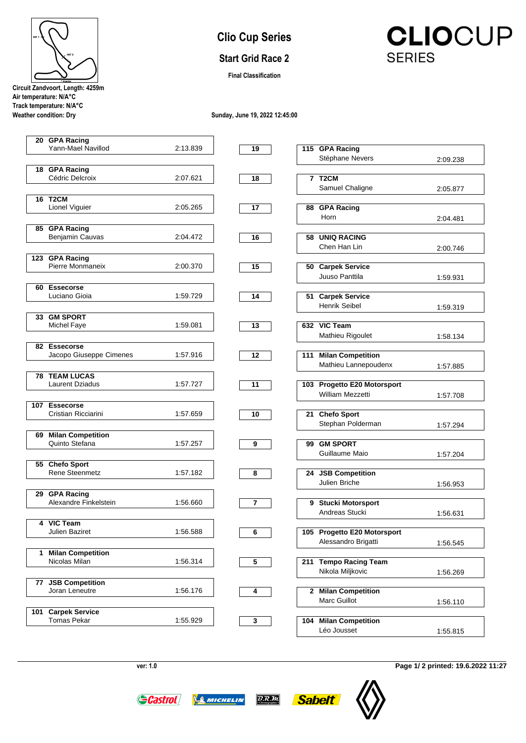| INT <sub>1</sub> |                                  |
|------------------|----------------------------------|
|                  | INT <sub>2</sub>                 |
|                  | <b>FINISH</b>                    |
|                  | Circuit Zandvoort, Length: 4259m |

**Air temperature: N/A°C Track temperature: N/A°C**

**Weather condition: Dry**

## **Clio Cup Series**

## **Start Grid Race 2**

**Final Classification**

**CLIOCUP SERIES** 

**Sunday, June 19, 2022 12:45:00**

|    | 20 GPA Racing                     |          |                |                                          |          |
|----|-----------------------------------|----------|----------------|------------------------------------------|----------|
|    | Yann-Mael Navillod                | 2:13.839 | 19             | 115 GPA Racing                           |          |
|    |                                   |          |                | Stéphane Nevers                          | 2:09.238 |
|    | 18 GPA Racing                     |          |                |                                          |          |
|    | Cédric Delcroix                   | 2:07.621 | 18             | 7 T <sub>2</sub> CM                      |          |
|    |                                   |          |                | Samuel Chaligne                          | 2:05.877 |
|    | <b>16 T2CM</b>                    |          |                |                                          |          |
|    | Lionel Viguier                    | 2:05.265 | 17             | 88 GPA Racing                            |          |
|    |                                   |          |                | Horn                                     | 2:04.481 |
|    | 85 GPA Racing                     |          |                |                                          |          |
|    | Benjamin Cauvas                   | 2:04.472 | 16             | <b>UNIQ RACING</b><br>58                 |          |
|    |                                   |          |                | Chen Han Lin                             | 2:00.746 |
|    | 123 GPA Racing                    |          |                |                                          |          |
|    | Pierre Monmaneix                  | 2:00.370 | 15             | 50 Carpek Service                        |          |
|    |                                   |          |                | Juuso Panttila                           | 1:59.931 |
|    |                                   |          |                |                                          |          |
|    | 60 Essecorse<br>Luciano Gioia     | 1:59.729 | 14             | 51 Carpek Service                        |          |
|    |                                   |          |                | <b>Henrik Seibel</b>                     |          |
|    |                                   |          |                |                                          | 1:59.319 |
|    | 33 GM SPORT                       |          |                |                                          |          |
|    | Michel Faye                       | 1:59.081 | 13             | 632 VIC Team                             |          |
|    |                                   |          |                | Mathieu Rigoulet                         | 1:58.134 |
|    | 82 Essecorse                      |          |                |                                          |          |
|    | Jacopo Giuseppe Cimenes           | 1:57.916 | 12             | <b>Milan Competition</b><br>111          |          |
|    |                                   |          |                | Mathieu Lannepoudenx                     | 1:57.885 |
| 78 | <b>TEAM LUCAS</b>                 |          |                |                                          |          |
|    | <b>Laurent Dziadus</b>            | 1:57.727 | 11             | 103 Progetto E20 Motorsport              |          |
|    |                                   |          |                | William Mezzetti                         | 1:57.708 |
|    | 107 Essecorse                     |          |                |                                          |          |
|    | Cristian Ricciarini               | 1:57.659 | 10             | 21 Chefo Sport                           |          |
|    |                                   |          |                | Stephan Polderman                        | 1:57.294 |
| 69 | <b>Milan Competition</b>          |          |                |                                          |          |
|    | Quinto Stefana                    | 1:57.257 | 9              | <b>GM SPORT</b><br>99                    |          |
|    |                                   |          |                | Guillaume Maio                           | 1:57.204 |
|    | 55 Chefo Sport                    |          |                |                                          |          |
|    | Rene Steenmetz                    | 1:57.182 | 8              | 24 JSB Competition                       |          |
|    |                                   |          |                | Julien Briche                            | 1:56.953 |
|    | 29 GPA Racing                     |          |                |                                          |          |
|    | Alexandre Finkelstein             | 1:56.660 | $\overline{7}$ | 9 Stucki Motorsport                      |          |
|    |                                   |          |                | Andreas Stucki                           |          |
|    |                                   |          |                |                                          | 1:56.631 |
| 4  | <b>VIC Team</b><br>Julien Baziret | 1:56.588 |                | 105 Progetto E20 Motorsport              |          |
|    |                                   |          | 6              |                                          |          |
|    |                                   |          |                | Alessandro Brigatti                      | 1:56.545 |
| 1  | <b>Milan Competition</b>          |          |                |                                          |          |
|    | Nicolas Milan                     | 1:56.314 | 5              | <b>Tempo Racing Team</b><br>211          |          |
|    |                                   |          |                | Nikola Miljkovic                         | 1:56.269 |
|    | 77 JSB Competition                |          |                |                                          |          |
|    | Joran Leneutre                    | 1:56.176 | 4              | <b>Milan Competition</b><br>$\mathbf{2}$ |          |
|    |                                   |          |                | Marc Guillot                             | 1:56.110 |
|    | 101 Carpek Service                |          |                |                                          |          |
|    | <b>Tomas Pekar</b>                | 1:55.929 | 3              | <b>Milan Competition</b><br>104          |          |
|    |                                   |          |                | Léo Jousset                              | 1:55.815 |
|    |                                   |          |                |                                          |          |

**ver: 1.0**

**Page 1/ 2 printed: 19.6.2022 11:27**